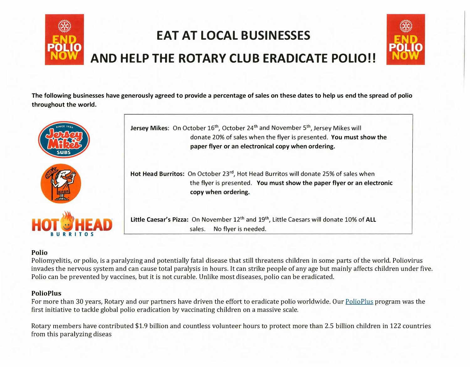

The following businesses have generously agreed to provide a percentage of sales on these dates to help us end the spread of polio throughout the world.



## **Polio**

Poliomyelitis, or polio, is a paralyzing and potentially fatal disease that still threatens children in some parts of the world. Poliovirus invades the nervous system and can cause total paralysis in hours. It can strike people of any age but mainly affects children under five. Polio can be prevented by vaccines, but it is not curable. Unlike most diseases, polio can be eradicated.

## **PolioPlus**

For more than 30 years, Rotary and our partners have driven the effort to eradicate polio worldwide. Our PolioPlus program was the first initiative to tackle global polio eradication by vaccinating children on a massive scale.

Rotary members have contributed \$1.9 billion and countless volunteer hours to protect more than 2.5 billion children in 122 countries from this paralyzing diseas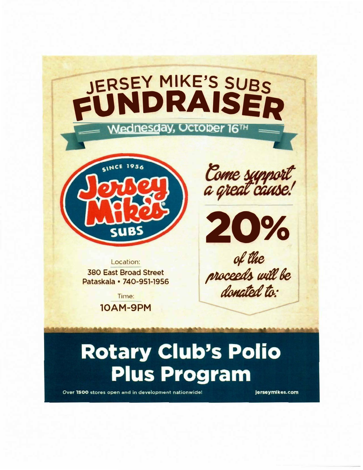

## **Rotary Club's Polio Plus Program**

Over 1500 stores open and in development nationwide!

jerseymikes.com